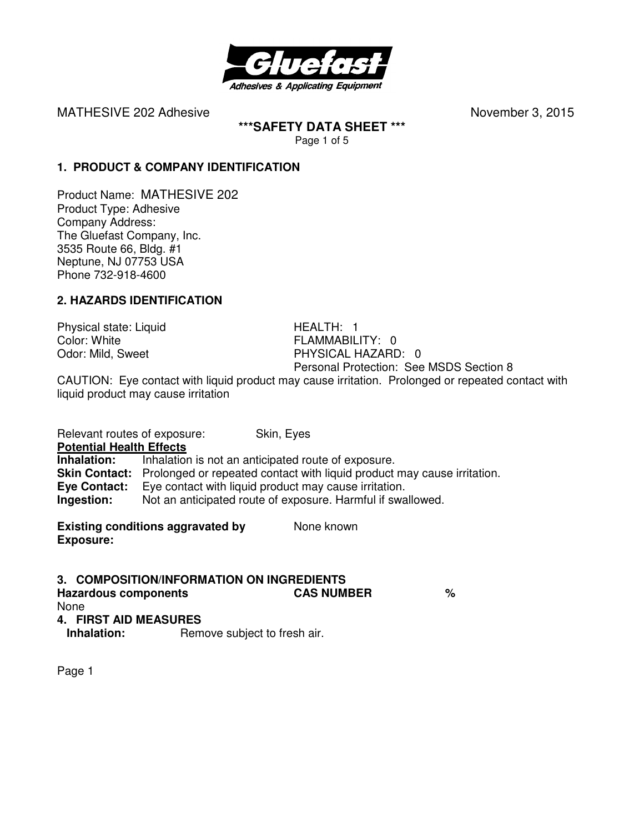

**\*\*\*SAFETY DATA SHEET \*\*\***  Page 1 of 5

**1. PRODUCT & COMPANY IDENTIFICATION**

Product Name: MATHESIVE 202 Product Type: Adhesive Company Address: The Gluefast Company, Inc. 3535 Route 66, Bldg. #1 Neptune, NJ 07753 USA Phone 732-918-4600

## **2. HAZARDS IDENTIFICATION**

Physical state: Liquid HEALTH: 1 Color: White Color: White Color: White Color: White Color: Mild. Sweet Color: Mild. Sweet Color: Mild. Sweet Color: Mild. Sweet Color: Mild. Sweet Color: Mild. Sweet Color: Mild. Sweet Color: Mild. Sweet Color: Mild. Sweet

PHYSICAL HAZARD: 0 Personal Protection: See MSDS Section 8

CAUTION: Eye contact with liquid product may cause irritation. Prolonged or repeated contact with liquid product may cause irritation

Relevant routes of exposure: Skin, Eyes **Potential Health Effects Inhalation:** Inhalation is not an anticipated route of exposure. **Skin Contact:** Prolonged or repeated contact with liquid product may cause irritation. **Eye Contact:** Eye contact with liquid product may cause irritation. **Ingestion:** Not an anticipated route of exposure. Harmful if swallowed.

**Existing conditions aggravated by Solve Representions Aggregate Representations Conditions aggregate Representions Conditions aggregate Representations Conditions aggregate Representations and Representations Conditions a Exposure:** 

**3. COMPOSITION/INFORMATION ON INGREDIENTS Hazardous components CAS NUMBER %**  None **4. FIRST AID MEASURES** 

**Inhalation:** Remove subject to fresh air.

Page 1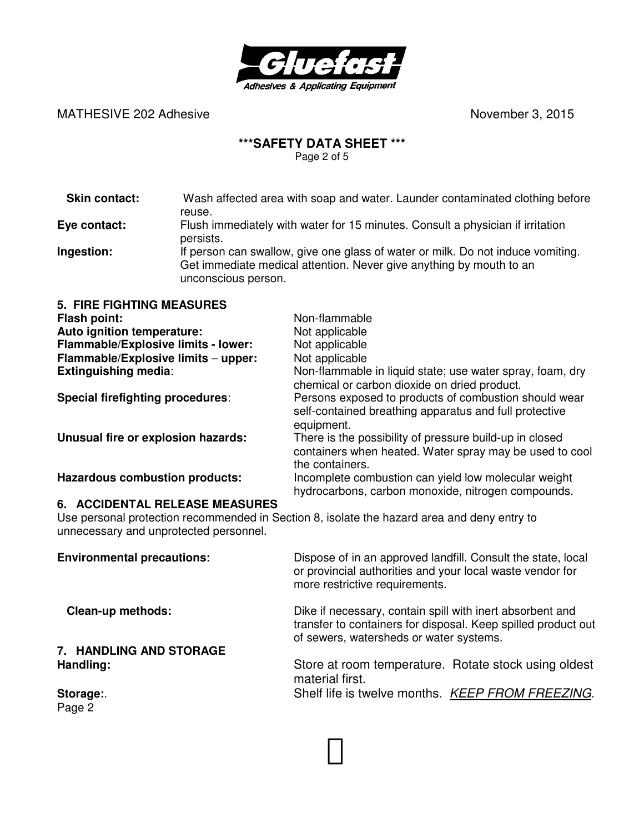

# **\*\*\*SAFETY DATA SHEET \*\*\***

Page 2 of 5

| <b>Skin contact:</b>                                                                                                                                                           | Wash affected area with soap and water. Launder contaminated clothing before                                                                                                               |                                                                                                                                       |  |
|--------------------------------------------------------------------------------------------------------------------------------------------------------------------------------|--------------------------------------------------------------------------------------------------------------------------------------------------------------------------------------------|---------------------------------------------------------------------------------------------------------------------------------------|--|
| Eye contact:                                                                                                                                                                   | reuse.<br>Flush immediately with water for 15 minutes. Consult a physician if irritation                                                                                                   |                                                                                                                                       |  |
| Ingestion:                                                                                                                                                                     | persists.<br>If person can swallow, give one glass of water or milk. Do not induce vomiting.<br>Get immediate medical attention. Never give anything by mouth to an<br>unconscious person. |                                                                                                                                       |  |
| <b>5. FIRE FIGHTING MEASURES</b>                                                                                                                                               |                                                                                                                                                                                            |                                                                                                                                       |  |
| <b>Flash point:</b>                                                                                                                                                            |                                                                                                                                                                                            | Non-flammable                                                                                                                         |  |
| Auto ignition temperature:                                                                                                                                                     |                                                                                                                                                                                            | Not applicable                                                                                                                        |  |
| Flammable/Explosive limits - lower:                                                                                                                                            |                                                                                                                                                                                            | Not applicable                                                                                                                        |  |
| Flammable/Explosive limits - upper:                                                                                                                                            |                                                                                                                                                                                            | Not applicable                                                                                                                        |  |
| <b>Extinguishing media:</b>                                                                                                                                                    |                                                                                                                                                                                            | Non-flammable in liquid state; use water spray, foam, dry<br>chemical or carbon dioxide on dried product.                             |  |
| <b>Special firefighting procedures:</b>                                                                                                                                        |                                                                                                                                                                                            | Persons exposed to products of combustion should wear<br>self-contained breathing apparatus and full protective<br>equipment.         |  |
| Unusual fire or explosion hazards:                                                                                                                                             |                                                                                                                                                                                            | There is the possibility of pressure build-up in closed<br>containers when heated. Water spray may be used to cool<br>the containers. |  |
| <b>Hazardous combustion products:</b>                                                                                                                                          |                                                                                                                                                                                            | Incomplete combustion can yield low molecular weight<br>hydrocarbons, carbon monoxide, nitrogen compounds.                            |  |
| <b>6. ACCIDENTAL RELEASE MEASURES</b><br>Use personal protection recommended in Section 8, isolate the hazard area and deny entry to<br>unnecessary and unprotected personnel. |                                                                                                                                                                                            |                                                                                                                                       |  |

| <b>Environmental precautions:</b> | Dispose of in an approved landfill. Consult the state, local<br>or provincial authorities and your local waste vendor for<br>more restrictive requirements.           |  |
|-----------------------------------|-----------------------------------------------------------------------------------------------------------------------------------------------------------------------|--|
| <b>Clean-up methods:</b>          | Dike if necessary, contain spill with inert absorbent and<br>transfer to containers for disposal. Keep spilled product out<br>of sewers, watersheds or water systems. |  |
| 7. HANDLING AND STORAGE           |                                                                                                                                                                       |  |
| Handling:                         | Store at room temperature. Rotate stock using oldest<br>material first.                                                                                               |  |
| Storage:<br>Page 2                | Shelf life is twelve months. KEEP FROM FREEZING.                                                                                                                      |  |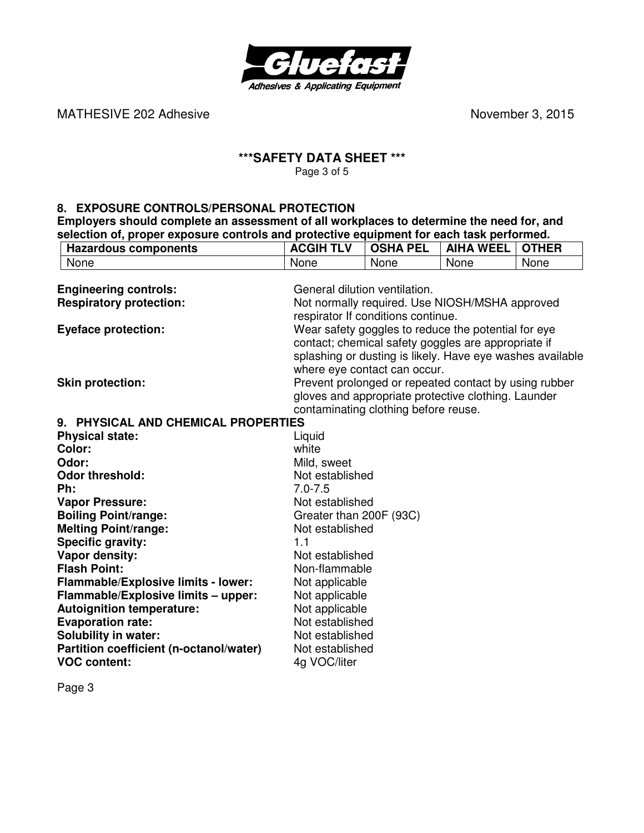

### **\*\*\*SAFETY DATA SHEET \*\*\***  Page 3 of 5

**8. EXPOSURE CONTROLS/PERSONAL PROTECTION** 

**Employers should complete an assessment of all workplaces to determine the need for, and selection of, proper exposure controls and protective equipment for each task performed.** 

| <b>Hazardous components</b>                | <b>ACGIH TLV</b>              | <b>OSHA PEL</b>                                           | <b>AIHA WEEL</b> | <b>OTHER</b> |
|--------------------------------------------|-------------------------------|-----------------------------------------------------------|------------------|--------------|
| None                                       | None                          | None                                                      | None             | None         |
|                                            |                               |                                                           |                  |              |
| <b>Engineering controls:</b>               | General dilution ventilation. |                                                           |                  |              |
| <b>Respiratory protection:</b>             |                               | Not normally required. Use NIOSH/MSHA approved            |                  |              |
|                                            |                               | respirator If conditions continue.                        |                  |              |
| <b>Eyeface protection:</b>                 |                               | Wear safety goggles to reduce the potential for eye       |                  |              |
|                                            |                               | contact; chemical safety goggles are appropriate if       |                  |              |
|                                            |                               | splashing or dusting is likely. Have eye washes available |                  |              |
|                                            |                               | where eye contact can occur.                              |                  |              |
| <b>Skin protection:</b>                    |                               | Prevent prolonged or repeated contact by using rubber     |                  |              |
|                                            |                               | gloves and appropriate protective clothing. Launder       |                  |              |
|                                            |                               | contaminating clothing before reuse.                      |                  |              |
| 9. PHYSICAL AND CHEMICAL PROPERTIES        |                               |                                                           |                  |              |
| <b>Physical state:</b>                     | Liquid                        |                                                           |                  |              |
| Color:                                     | white                         |                                                           |                  |              |
| Odor:                                      | Mild, sweet                   |                                                           |                  |              |
| <b>Odor threshold:</b>                     | Not established               |                                                           |                  |              |
| Ph:                                        | $7.0 - 7.5$                   |                                                           |                  |              |
| <b>Vapor Pressure:</b>                     | Not established               |                                                           |                  |              |
| <b>Boiling Point/range:</b>                | Greater than 200F (93C)       |                                                           |                  |              |
| <b>Melting Point/range:</b>                | Not established               |                                                           |                  |              |
| <b>Specific gravity:</b>                   | 1.1                           |                                                           |                  |              |
| Vapor density:                             | Not established               |                                                           |                  |              |
| <b>Flash Point:</b>                        | Non-flammable                 |                                                           |                  |              |
| <b>Flammable/Explosive limits - lower:</b> | Not applicable                |                                                           |                  |              |
| Flammable/Explosive limits - upper:        | Not applicable                |                                                           |                  |              |
| <b>Autoignition temperature:</b>           | Not applicable                |                                                           |                  |              |
| <b>Evaporation rate:</b>                   | Not established               |                                                           |                  |              |
| <b>Solubility in water:</b>                | Not established               |                                                           |                  |              |
| Partition coefficient (n-octanol/water)    | Not established               |                                                           |                  |              |
| <b>VOC content:</b>                        | 4g VOC/liter                  |                                                           |                  |              |
|                                            |                               |                                                           |                  |              |

Page 3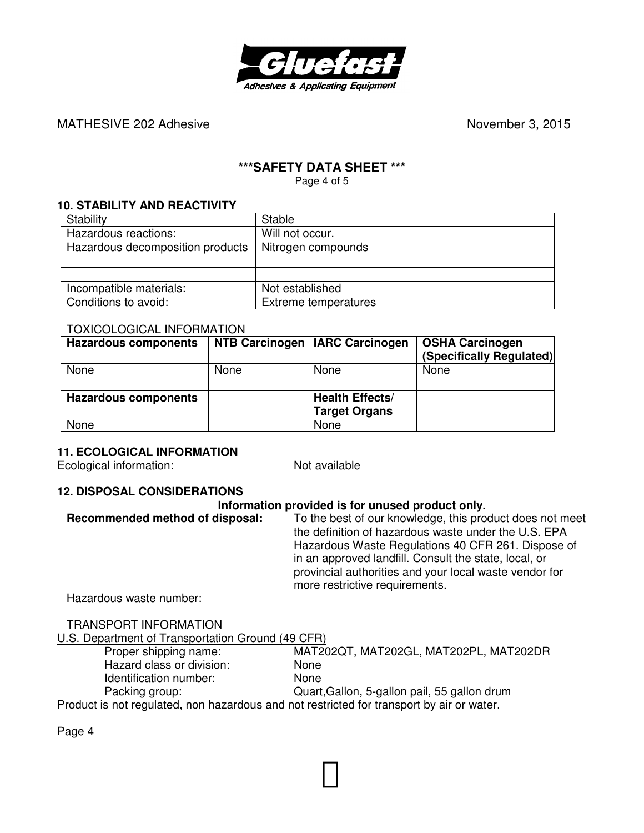

## **\*\*\*SAFETY DATA SHEET \*\*\***

Page 4 of 5

## **10. STABILITY AND REACTIVITY**

| Stability                        | <b>Stable</b>        |
|----------------------------------|----------------------|
| Hazardous reactions:             | Will not occur.      |
| Hazardous decomposition products | Nitrogen compounds   |
|                                  |                      |
|                                  |                      |
| Incompatible materials:          | Not established      |
| Conditions to avoid:             | Extreme temperatures |

### TOXICOLOGICAL INFORMATION

| <b>Hazardous components</b> |      | NTB Carcinogen   IARC Carcinogen | <b>OSHA Carcinogen</b><br>(Specifically Regulated) |
|-----------------------------|------|----------------------------------|----------------------------------------------------|
| None                        | None | None                             | None                                               |
|                             |      |                                  |                                                    |
| <b>Hazardous components</b> |      | <b>Health Effects/</b>           |                                                    |
|                             |      | <b>Target Organs</b>             |                                                    |
| None                        |      | None                             |                                                    |

### **11. ECOLOGICAL INFORMATION**

Ecological information: Not available

### **12. DISPOSAL CONSIDERATIONS**

#### **Information provided is for unused product only.**

**Recommended method of disposal:** To the best of our knowledge, this product does not meet the definition of hazardous waste under the U.S. EPA Hazardous Waste Regulations 40 CFR 261. Dispose of in an approved landfill. Consult the state, local, or provincial authorities and your local waste vendor for more restrictive requirements.

Hazardous waste number:

TRANSPORT INFORMATION

U.S. Department of Transportation Ground (49 CFR)<br>Proper shipping name: MAT20

Hazard class or division: None Identification number: None

MAT202QT, MAT202GL, MAT202PL, MAT202DR

Packing group: Quart,Gallon, 5-gallon pail, 55 gallon drum

Product is not regulated, non hazardous and not restricted for transport by air or water.

Page 4